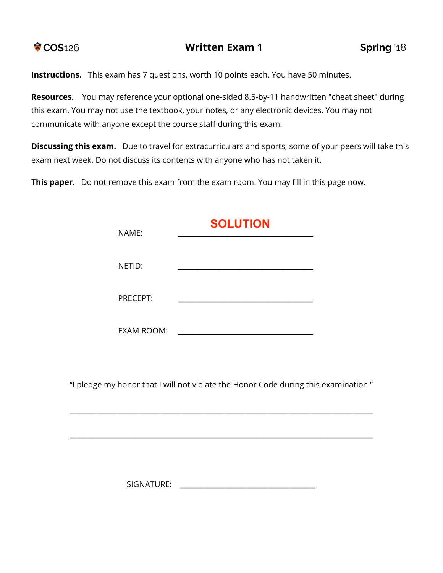

**Instructions.** This exam has 7 questions, worth 10 points each. You have 50 minutes.

**Resources.** You may reference your optional one-sided 8.5-by-11 handwritten "cheat sheet" during this exam. You may not use the textbook, your notes, or any electronic devices. You may not communicate with anyone except the course staff during this exam.

**Discussing this exam.** Due to travel for extracurriculars and sports, some of your peers will take this exam next week. Do not discuss its contents with anyone who has not taken it.

**This paper.** Do not remove this exam from the exam room. You may fill in this page now.

| NAME:             | <b>SOLUTION</b> |
|-------------------|-----------------|
| NETID:            |                 |
| PRECEPT:          |                 |
| <b>EXAM ROOM:</b> |                 |

"I pledge my honor that I will not violate the Honor Code during this examination."

\_\_\_\_\_\_\_\_\_\_\_\_\_\_\_\_\_\_\_\_\_\_\_\_\_\_\_\_\_\_\_\_\_\_\_\_\_\_\_\_\_\_\_\_\_\_\_\_\_\_\_\_\_\_\_\_\_\_\_\_\_\_\_\_\_\_\_\_\_\_\_\_\_\_\_\_\_\_\_\_\_\_\_\_\_

\_\_\_\_\_\_\_\_\_\_\_\_\_\_\_\_\_\_\_\_\_\_\_\_\_\_\_\_\_\_\_\_\_\_\_\_\_\_\_\_\_\_\_\_\_\_\_\_\_\_\_\_\_\_\_\_\_\_\_\_\_\_\_\_\_\_\_\_\_\_\_\_\_\_\_\_\_\_\_\_\_\_\_\_\_

SIGNATURE: \_\_\_\_\_\_\_\_\_\_\_\_\_\_\_\_\_\_\_\_\_\_\_\_\_\_\_\_\_\_\_\_\_\_\_\_\_\_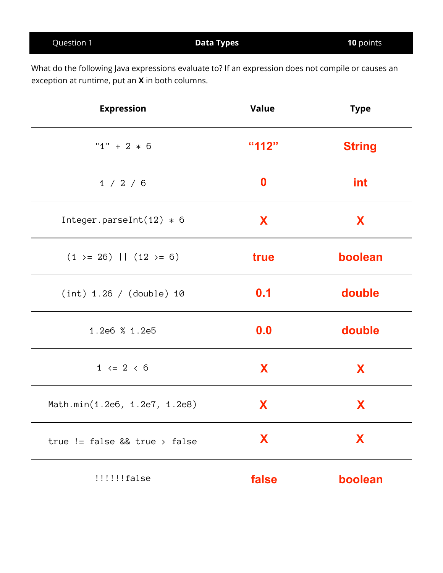| Question 1 | <b>Data Types</b> | 10 points |
|------------|-------------------|-----------|
|            |                   |           |

What do the following Java expressions evaluate to? If an expression does not compile or causes an exception at runtime, put an **X** in both columns.

| <b>Expression</b>             | <b>Value</b> | <b>Type</b>   |
|-------------------------------|--------------|---------------|
| " $1" + 2 * 6$                | "112"        | <b>String</b> |
| 1 / 2 / 6                     | $\bf{0}$     | int           |
| Integer.parseInt $(12) * 6$   | X            | X             |
| $(1 > = 26)$   $(12 > = 6)$   | true         | boolean       |
| (int) 1.26 / (double) 10      | 0.1          | double        |
| 1.2e6 % 1.2e5                 | 0.0          | double        |
| $1 \le 2 \le 6$               | X            | X             |
| Math.min(1.2e6, 1.2e7, 1.2e8) | X            | X             |
| true != false && true > false | X            | X             |
| !!!!!!false                   | false        | boolean       |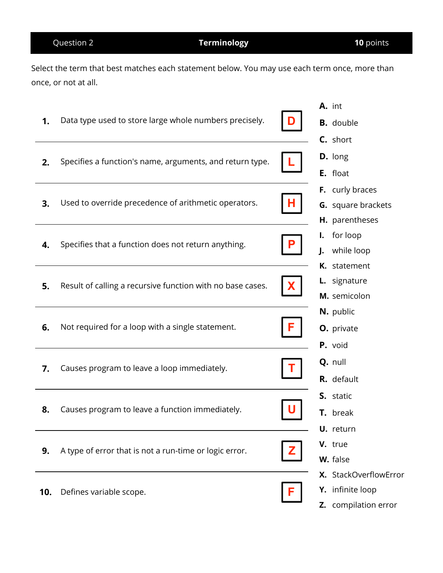# Question 2 **Terminology 10** points

Select the term that best matches each statement below. You may use each term once, more than once, or not at all.

|     |                                                            |   | A. int                |
|-----|------------------------------------------------------------|---|-----------------------|
| 1.  | Data type used to store large whole numbers precisely.     |   | <b>B.</b> double      |
|     |                                                            |   | C. short              |
| 2.  | Specifies a function's name, arguments, and return type.   |   | D. long               |
|     |                                                            |   | E. float              |
|     |                                                            |   | F. curly braces       |
| 3.  | Used to override precedence of arithmetic operators.       |   | G. square brackets    |
|     |                                                            |   | H. parentheses        |
|     |                                                            |   | for loop<br>I.        |
| 4.  | Specifies that a function does not return anything.        |   | while loop<br>J.      |
|     |                                                            |   | K. statement          |
| 5.  | Result of calling a recursive function with no base cases. |   | L. signature          |
|     |                                                            |   | M. semicolon          |
|     |                                                            |   | N. public             |
| 6.  | Not required for a loop with a single statement.           | F | O. private            |
|     |                                                            |   | P. void               |
| 7.  | Causes program to leave a loop immediately.                |   | Q. null               |
|     |                                                            |   | R. default            |
|     |                                                            |   | S. static             |
| 8.  | Causes program to leave a function immediately.            |   | T. break              |
|     |                                                            |   | <b>U.</b> return      |
| 9.  |                                                            |   | V. true               |
|     | A type of error that is not a run-time or logic error.     |   | W. false              |
|     |                                                            |   | X. StackOverflowError |
| 10. | Defines variable scope.                                    |   | Y. infinite loop      |
|     |                                                            |   | Z. compilation error  |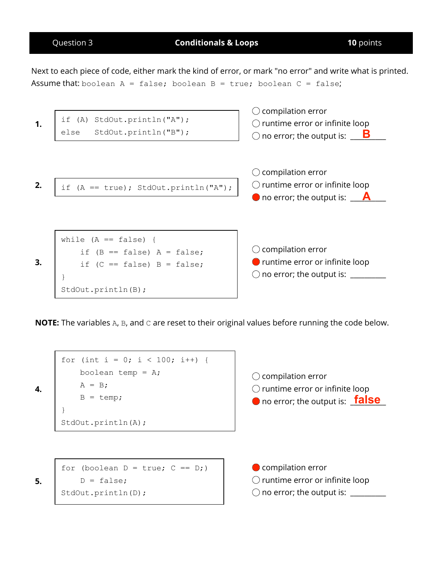

**4.**

**5.**

Question 3 **Conditionals & Loops 10** points

Next to each piece of code, either mark the kind of error, or mark "no error" and write what is printed. Assume that: boolean  $A = false$ ; boolean  $B = true$ ; boolean  $C = false$ ;



**NOTE:** The variables A, B, and C are reset to their original values before running the code below.

$$
\begin{array}{|l|}\nfor (int i = 0; i < 100; i++) {\n boolean temp = A;\n A = B;\n B = temp;\n}\n}\n\nStdOut.println(A);
$$

compilation error untime error or infinite loop no error; the output is: <mark>\_false</mark>\_

for (boolean  $D = true$ ;  $C == D$ ;)  $D = false;$ StdOut.println(D);

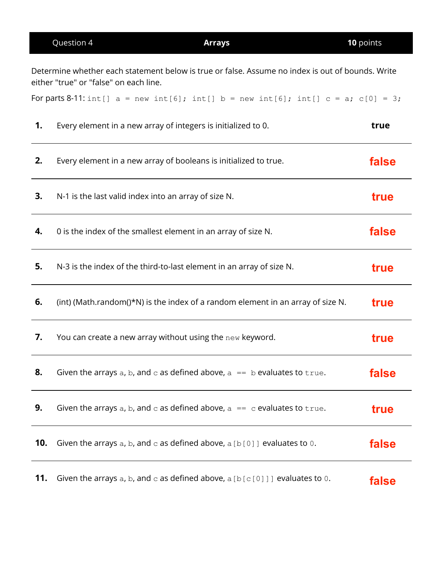|     | Question 4                                                                                                                                 | <b>Arrays</b> | 10 points |
|-----|--------------------------------------------------------------------------------------------------------------------------------------------|---------------|-----------|
|     | Determine whether each statement below is true or false. Assume no index is out of bounds. Write<br>either "true" or "false" on each line. |               |           |
|     | For parts 8-11: $int[] a = new int[6]$ ; $int[] b = new int[6]$ ; $int[] c = a$ ; $c[0] = 3$ ;                                             |               |           |
| 1.  | Every element in a new array of integers is initialized to 0.                                                                              |               | true      |
| 2.  | Every element in a new array of booleans is initialized to true.                                                                           |               | false     |
| 3.  | N-1 is the last valid index into an array of size N.                                                                                       |               | true      |
| 4.  | 0 is the index of the smallest element in an array of size N.                                                                              |               | false     |
| 5.  | N-3 is the index of the third-to-last element in an array of size N.                                                                       |               | true      |
| 6.  | (int) (Math.random()*N) is the index of a random element in an array of size N.                                                            |               | true      |
| 7.  | You can create a new array without using the new keyword.                                                                                  |               | true      |
| 8.  | Given the arrays a, b, and c as defined above, $a == b$ evaluates to true.                                                                 |               | false     |
| 9.  | Given the arrays a, b, and c as defined above, $a = c$ evaluates to true.                                                                  |               | true      |
| 10. | Given the arrays a, b, and c as defined above, $a [b [0]]$ evaluates to 0.                                                                 |               | false     |
| 11. | Given the arrays a, b, and c as defined above, $a [b[c[0]]]$ evaluates to 0.                                                               |               | false     |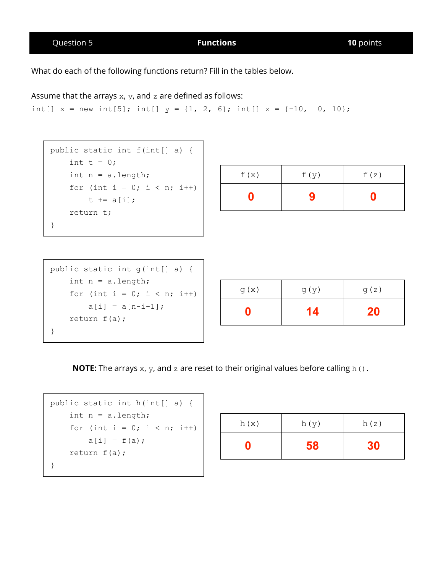Question 5 **Functions 10** points

What do each of the following functions return? Fill in the tables below.

Assume that the arrays  $x$ ,  $y$ , and  $z$  are defined as follows:

```
int[] x = new int[5]; int[] y = \{1, 2, 6\}; int[] z = \{-10, 0, 10\};
```

```
public static int f(int[] a) {
   int t = 0;
    int n = a.length;for (int i = 0; i < n; i++)
       t += a[i];
    return t;
}
```

| f(x) | f(y) | f(z) |
|------|------|------|
|      | 9    | Π    |

| public static int q(int[] a) { |
|--------------------------------|
| int $n = a.length;$            |
| for (int i = 0; i < n; i++)    |
| $a[i] = a[n-i-1]$ ;            |
| return $f(a)$ ;                |
|                                |

| g(x) | g(y) | g(z) |
|------|------|------|
|      | 14   | 20   |

**NOTE:** The arrays  $x$ ,  $y$ , and  $z$  are reset to their original values before calling  $h$  ().

```
public static int h(int[] a) {
    int n = a.length;
    for (int i = 0; i < n; i++)
       a[i] = f(a);
    return f(a);
}
```

| h(x) | h(y) | h(z) |
|------|------|------|
|      | 58   |      |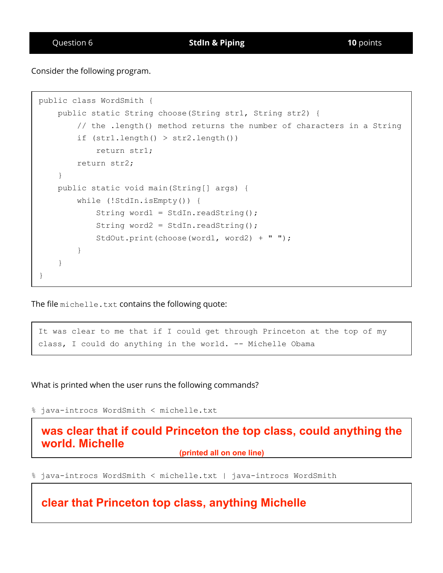Consider the following program.

```
public class WordSmith {
    public static String choose(String str1, String str2) {
        // the .length() method returns the number of characters in a String
        if (str1.length() > str2.length())
            return str1;
        return str2;
    }
    public static void main(String[] args) {
        while (!StdIn.isEmpty()) {
            String word1 = StdIn.readString();
            String word2 = StdIn.readString();
            StdOut.print(choose(word1, word2) + " ");
        }
    }
}
```
The file michelle.txt contains the following quote:

It was clear to me that if I could get through Princeton at the top of my class, I could do anything in the world.  $-$ - Michelle Obama

What is printed when the user runs the following commands?

% java-introcs WordSmith < michelle.txt

## **was clear that if could Princeton the top class, could anything the world. Michelle (printed all on one line)**

% java-introcs WordSmith < michelle.txt | java-introcs WordSmith

**clear that Princeton top class, anything Michelle**